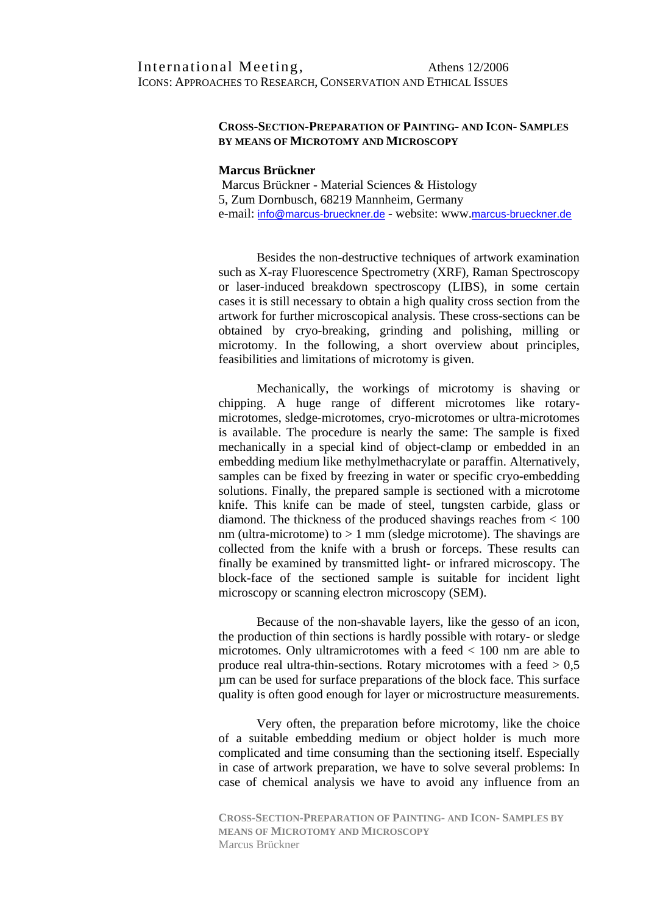## **CROSS-SECTION-PREPARATION OF PAINTING- AND ICON- SAMPLES BY MEANS OF MICROTOMY AND MICROSCOPY**

## **Marcus Brückner**

 Marcus Brückner - Material Sciences & Histology 5, Zum Dornbusch, 68219 Mannheim, Germany e-mail: info@marcus-brueckner.de - website: www.marcus-brueckner.de

Besides the non-destructive techniques of artwork examination such as X-ray Fluorescence Spectrometry (XRF), Raman Spectroscopy or laser-induced breakdown spectroscopy (LIBS), in some certain cases it is still necessary to obtain a high quality cross section from the artwork for further microscopical analysis. These cross-sections can be obtained by cryo-breaking, grinding and polishing, milling or microtomy. In the following, a short overview about principles, feasibilities and limitations of microtomy is given.

Mechanically, the workings of microtomy is shaving or chipping. A huge range of different microtomes like rotarymicrotomes, sledge-microtomes, cryo-microtomes or ultra-microtomes is available. The procedure is nearly the same: The sample is fixed mechanically in a special kind of object-clamp or embedded in an embedding medium like methylmethacrylate or paraffin. Alternatively, samples can be fixed by freezing in water or specific cryo-embedding solutions. Finally, the prepared sample is sectioned with a microtome knife. This knife can be made of steel, tungsten carbide, glass or diamond. The thickness of the produced shavings reaches from < 100 nm (ultra-microtome) to  $> 1$  mm (sledge microtome). The shavings are collected from the knife with a brush or forceps. These results can finally be examined by transmitted light- or infrared microscopy. The block-face of the sectioned sample is suitable for incident light microscopy or scanning electron microscopy (SEM).

Because of the non-shavable layers, like the gesso of an icon, the production of thin sections is hardly possible with rotary- or sledge microtomes. Only ultramicrotomes with a feed < 100 nm are able to produce real ultra-thin-sections. Rotary microtomes with a feed  $> 0.5$ µm can be used for surface preparations of the block face. This surface quality is often good enough for layer or microstructure measurements.

Very often, the preparation before microtomy, like the choice of a suitable embedding medium or object holder is much more complicated and time consuming than the sectioning itself. Especially in case of artwork preparation, we have to solve several problems: In case of chemical analysis we have to avoid any influence from an